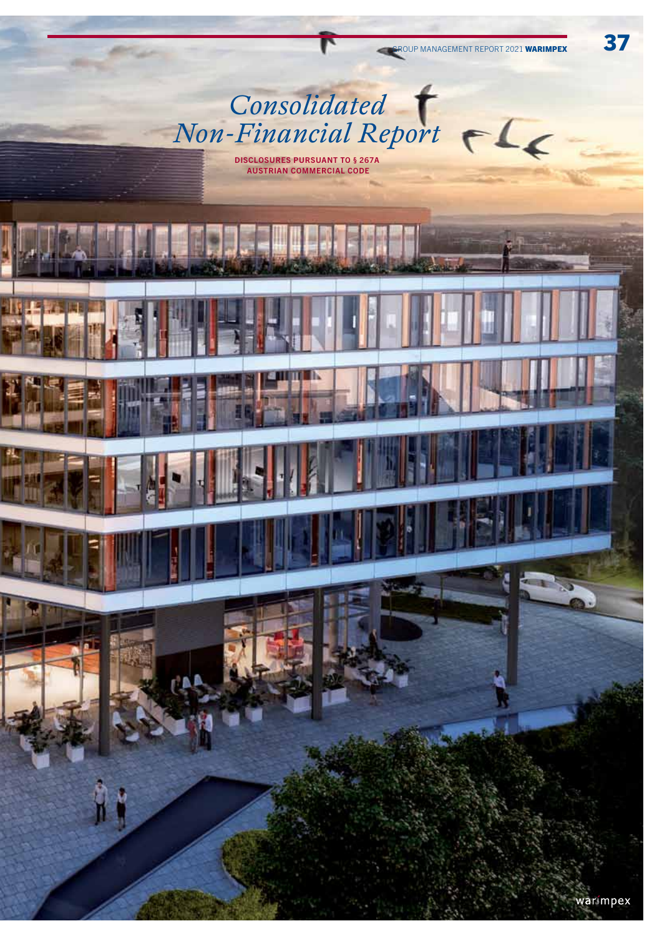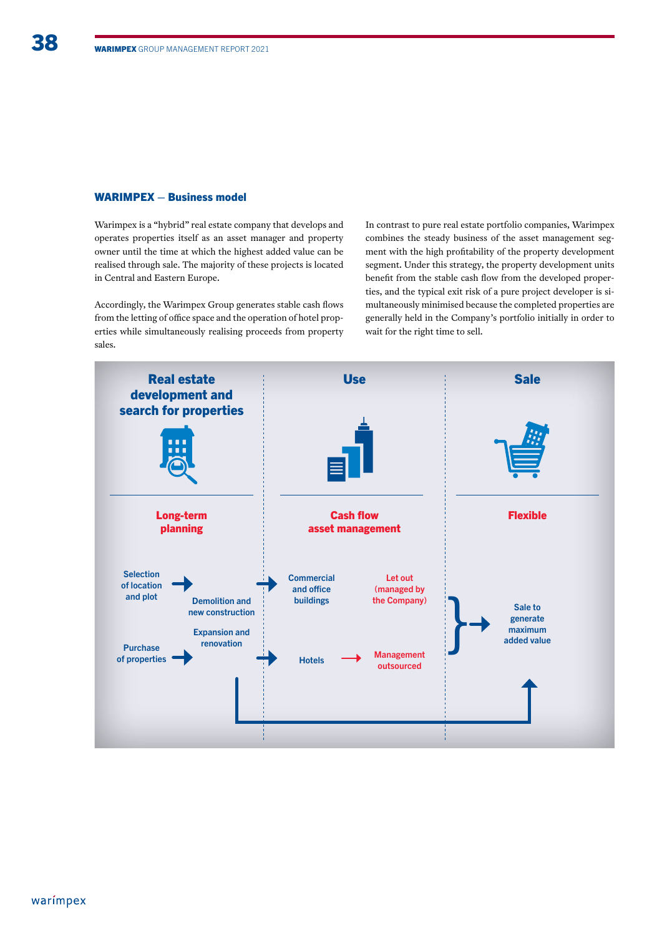38

## WARIMPEX – Business model

Warimpex is a "hybrid" real estate company that develops and operates properties itself as an asset manager and property owner until the time at which the highest added value can be realised through sale. The majority of these projects is located in Central and Eastern Europe.

Accordingly, the Warimpex Group generates stable cash flows from the letting of office space and the operation of hotel properties while simultaneously realising proceeds from property sales.

In contrast to pure real estate portfolio companies, Warimpex combines the steady business of the asset management segment with the high profitability of the property development segment. Under this strategy, the property development units benefit from the stable cash flow from the developed properties, and the typical exit risk of a pure project developer is simultaneously minimised because the completed properties are generally held in the Company's portfolio initially in order to wait for the right time to sell.

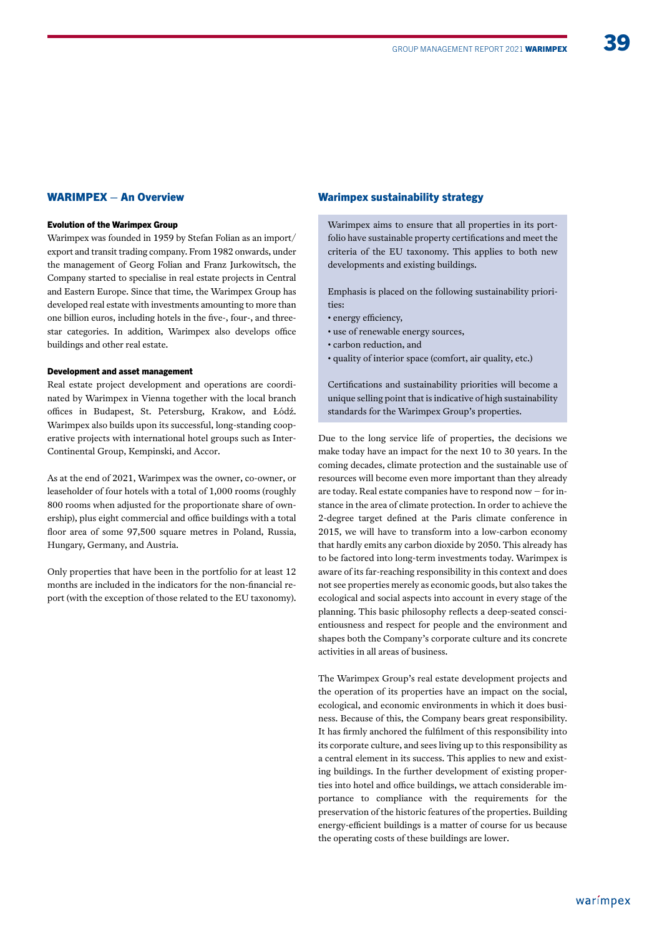#### WARIMPEX - An Overview

### Evolution of the Warimpex Group

Warimpex was founded in 1959 by Stefan Folian as an import/ export and transit trading company. From 1982 onwards, under the management of Georg Folian and Franz Jurkowitsch, the Company started to specialise in real estate projects in Central and Eastern Europe. Since that time, the Warimpex Group has developed real estate with investments amounting to more than one billion euros, including hotels in the five-, four-, and threestar categories. In addition, Warimpex also develops office buildings and other real estate.

## Development and asset management

Real estate project development and operations are coordinated by Warimpex in Vienna together with the local branch offices in Budapest, St. Petersburg, Krakow, and Łódź. Warimpex also builds upon its successful, long-standing cooperative projects with international hotel groups such as Inter-Continental Group, Kempinski, and Accor.

As at the end of 2021, Warimpex was the owner, co-owner, or leaseholder of four hotels with a total of 1,000 rooms (roughly 800 rooms when adjusted for the proportionate share of ownership), plus eight commercial and office buildings with a total floor area of some 97,500 square metres in Poland, Russia, Hungary, Germany, and Austria.

Only properties that have been in the portfolio for at least 12 months are included in the indicators for the non-financial report (with the exception of those related to the EU taxonomy).

### Warimpex sustainability strategy

Warimpex aims to ensure that all properties in its portfolio have sustainable property certifications and meet the criteria of the EU taxonomy. This applies to both new developments and existing buildings.

Emphasis is placed on the following sustainability priorities:

- energy efficiency,
- use of renewable energy sources,
- carbon reduction, and
- quality of interior space (comfort, air quality, etc.)

Certifications and sustainability priorities will become a unique selling point that is indicative of high sustainability standards for the Warimpex Group's properties.

Due to the long service life of properties, the decisions we make today have an impact for the next 10 to 30 years. In the coming decades, climate protection and the sustainable use of resources will become even more important than they already are today. Real estate companies have to respond now – for instance in the area of climate protection. In order to achieve the 2-degree target defined at the Paris climate conference in 2015, we will have to transform into a low-carbon economy that hardly emits any carbon dioxide by 2050. This already has to be factored into long-term investments today. Warimpex is aware of its far-reaching responsibility in this context and does not see properties merely as economic goods, but also takes the ecological and social aspects into account in every stage of the planning. This basic philosophy reflects a deep-seated conscientiousness and respect for people and the environment and shapes both the Company's corporate culture and its concrete activities in all areas of business.

The Warimpex Group's real estate development projects and the operation of its properties have an impact on the social, ecological, and economic environments in which it does business. Because of this, the Company bears great responsibility. It has firmly anchored the fulfilment of this responsibility into its corporate culture, and sees living up to this responsibility as a central element in its success. This applies to new and existing buildings. In the further development of existing properties into hotel and office buildings, we attach considerable importance to compliance with the requirements for the preservation of the historic features of the properties. Building energy-efficient buildings is a matter of course for us because the operating costs of these buildings are lower.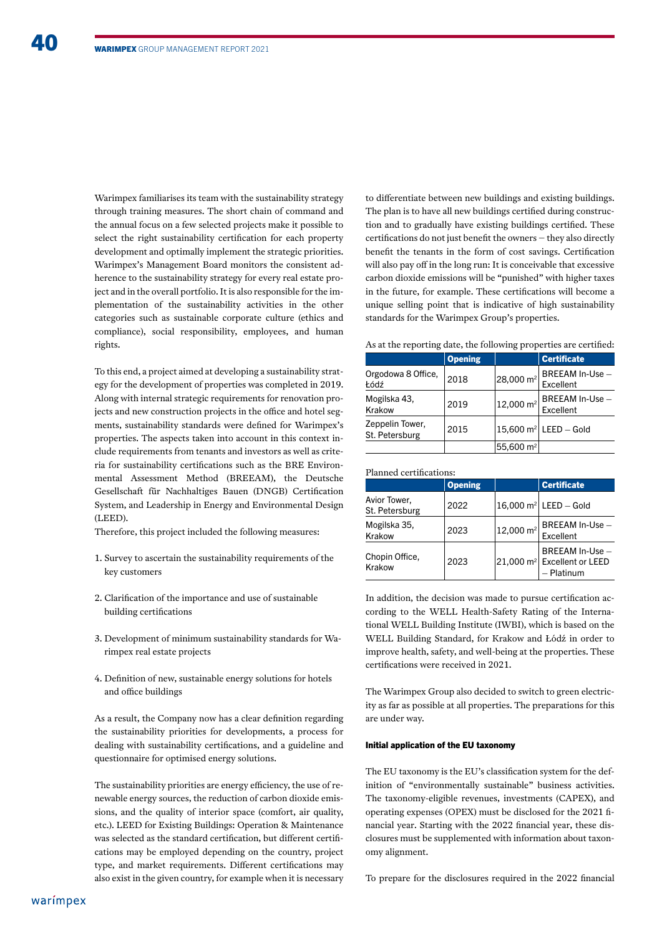Warimpex familiarises its team with the sustainability strategy through training measures. The short chain of command and the annual focus on a few selected projects make it possible to select the right sustainability certification for each property development and optimally implement the strategic priorities. Warimpex's Management Board monitors the consistent adherence to the sustainability strategy for every real estate project and in the overall portfolio. It is also responsible for the implementation of the sustainability activities in the other categories such as sustainable corporate culture (ethics and compliance), social responsibility, employees, and human rights.

To this end, a project aimed at developing a sustainability strategy for the development of properties was completed in 2019. Along with internal strategic requirements for renovation projects and new construction projects in the office and hotel segments, sustainability standards were defined for Warimpex's properties. The aspects taken into account in this context include requirements from tenants and investors as well as criteria for sustainability certifications such as the BRE Environmental Assessment Method (BREEAM), the Deutsche Gesellschaft für Nachhaltiges Bauen (DNGB) Certification System, and Leadership in Energy and Environmental Design (LEED).

Therefore, this project included the following measures:

- 1. Survey to ascertain the sustainability requirements of the key customers
- 2. Clarification of the importance and use of sustainable building certifications
- 3. Development of minimum sustainability standards for Warimpex real estate projects
- 4. Definition of new, sustainable energy solutions for hotels and office buildings

As a result, the Company now has a clear definition regarding the sustainability priorities for developments, a process for dealing with sustainability certifications, and a guideline and questionnaire for optimised energy solutions.

The sustainability priorities are energy efficiency, the use of renewable energy sources, the reduction of carbon dioxide emissions, and the quality of interior space (comfort, air quality, etc.). LEED for Existing Buildings: Operation & Maintenance was selected as the standard certification, but different certifications may be employed depending on the country, project type, and market requirements. Different certifications may also exist in the given country, for example when it is necessary

to differentiate between new buildings and existing buildings. The plan is to have all new buildings certified during construction and to gradually have existing buildings certified. These certifications do not just benefit the owners – they also directly benefit the tenants in the form of cost savings. Certification will also pay off in the long run: It is conceivable that excessive carbon dioxide emissions will be "punished" with higher taxes in the future, for example. These certifications will become a unique selling point that is indicative of high sustainability standards for the Warimpex Group's properties.

As at the reporting date, the following properties are certified:

|                                   | <b>Opening</b> |                       | <b>Certificate</b>                  |
|-----------------------------------|----------------|-----------------------|-------------------------------------|
| Orgodowa 8 Office,<br>Łódź        | 2018           | 28,000 m <sup>2</sup> | BREEAM In-Use -<br>Excellent        |
| Mogilska 43,<br>Krakow            | 2019           | 12,000 m <sup>2</sup> | BREEAM In-Use -<br>Excellent        |
| Zeppelin Tower,<br>St. Petersburg | 2015           |                       | $15,600$ m <sup>2</sup> LEED - Gold |
|                                   |                | 55,600 m <sup>2</sup> |                                     |

| Planned certifications:        |                |                       |                                                                            |
|--------------------------------|----------------|-----------------------|----------------------------------------------------------------------------|
|                                | <b>Opening</b> |                       | <b>Certificate</b>                                                         |
| Avior Tower,<br>St. Petersburg | 2022           |                       | $16,000 \text{ m}^2$ LEED - Gold                                           |
| Mogilska 35,<br>Krakow         | 2023           | 12,000 m <sup>2</sup> | BREEAM In-Use -<br>Excellent                                               |
| Chopin Office,<br>Krakow       | 2023           |                       | BREEAM In-Use -<br>21,000 m <sup>2</sup> Excellent or LEED<br>$-$ Platinum |

In addition, the decision was made to pursue certification according to the WELL Health-Safety Rating of the International WELL Building Institute (IWBI), which is based on the WELL Building Standard, for Krakow and Łódź in order to improve health, safety, and well-being at the properties. These certifications were received in 2021.

The Warimpex Group also decided to switch to green electricity as far as possible at all properties. The preparations for this are under way.

#### Initial application of the EU taxonomy

The EU taxonomy is the EU's classification system for the definition of "environmentally sustainable" business activities. The taxonomy-eligible revenues, investments (CAPEX), and operating expenses (OPEX) must be disclosed for the 2021 financial year. Starting with the 2022 financial year, these disclosures must be supplemented with information about taxonomy alignment.

To prepare for the disclosures required in the 2022 financial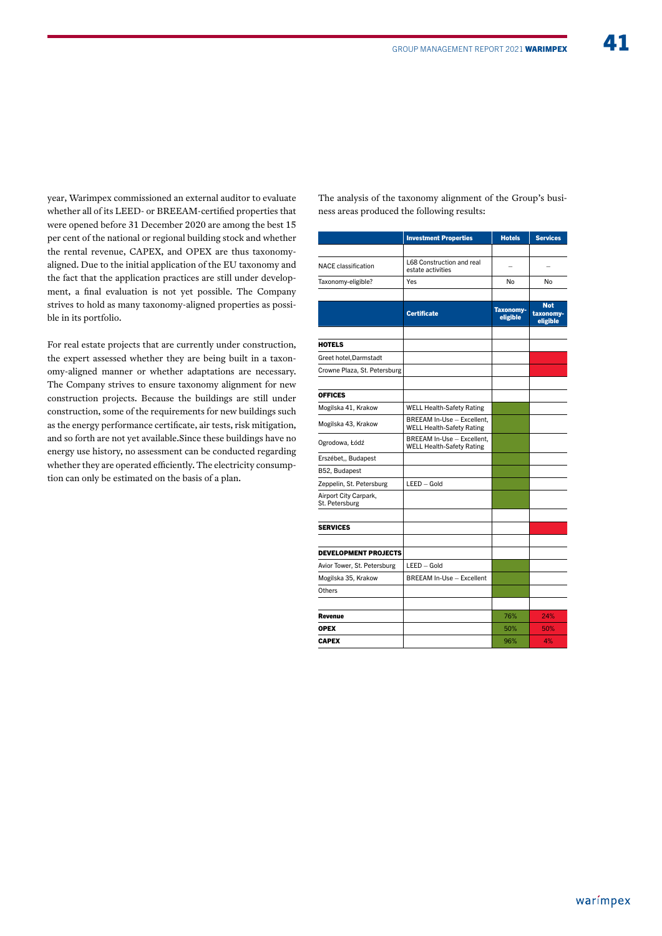year, Warimpex commissioned an external auditor to evaluate whether all of its LEED- or BREEAM-certified properties that were opened before 31 December 2020 are among the best 15 per cent of the national or regional building stock and whether the rental revenue, CAPEX, and OPEX are thus taxonomyaligned. Due to the initial application of the EU taxonomy and the fact that the application practices are still under development, a final evaluation is not yet possible. The Company strives to hold as many taxonomy-aligned properties as possible in its portfolio.

For real estate projects that are currently under construction, the expert assessed whether they are being built in a taxonomy-aligned manner or whether adaptations are necessary. The Company strives to ensure taxonomy alignment for new construction projects. Because the buildings are still under construction, some of the requirements for new buildings such as the energy performance certificate, air tests, risk mitigation, and so forth are not yet available.Since these buildings have no energy use history, no assessment can be conducted regarding whether they are operated efficiently. The electricity consumption can only be estimated on the basis of a plan.

The analysis of the taxonomy alignment of the Group's business areas produced the following results:

|                                         | <b>Investment Properties</b>                                   | <b>Hotels</b>                | <b>Services</b>                     |
|-----------------------------------------|----------------------------------------------------------------|------------------------------|-------------------------------------|
|                                         |                                                                |                              |                                     |
| <b>NACE</b> classification              | L68 Construction and real<br>estate activities                 | -                            |                                     |
| Taxonomy-eligible?                      | Yes                                                            | No                           | No                                  |
|                                         |                                                                |                              |                                     |
|                                         | <b>Certificate</b>                                             | <b>Taxonomy-</b><br>eligible | <b>Not</b><br>taxonomy-<br>eligible |
|                                         |                                                                |                              |                                     |
| <b>HOTELS</b>                           |                                                                |                              |                                     |
| Greet hotel, Darmstadt                  |                                                                |                              |                                     |
| Crowne Plaza, St. Petersburg            |                                                                |                              |                                     |
|                                         |                                                                |                              |                                     |
| <b>OFFICES</b>                          |                                                                |                              |                                     |
| Mogilska 41, Krakow                     | <b>WELL Health-Safety Rating</b>                               |                              |                                     |
| Mogilska 43, Krakow                     | BREEAM In-Use - Excellent,<br><b>WELL Health-Safety Rating</b> |                              |                                     |
| Ogrodowa, Łódź                          | BREEAM In-Use - Excellent,<br><b>WELL Health-Safety Rating</b> |                              |                                     |
| Erszébet,, Budapest                     |                                                                |                              |                                     |
| B52, Budapest                           |                                                                |                              |                                     |
| Zeppelin, St. Petersburg                | $LEED - Gold$                                                  |                              |                                     |
| Airport City Carpark,<br>St. Petersburg |                                                                |                              |                                     |
| <b>SERVICES</b>                         |                                                                |                              |                                     |
|                                         |                                                                |                              |                                     |
| <b>DEVELOPMENT PROJECTS</b>             |                                                                |                              |                                     |
| Avior Tower, St. Petersburg             | $LEED - Gold$                                                  |                              |                                     |
| Mogilska 35, Krakow                     | <b>BREEAM In-Use - Excellent</b>                               |                              |                                     |
| Others                                  |                                                                |                              |                                     |
|                                         |                                                                |                              |                                     |
| Revenue                                 |                                                                | 76%                          | 24%                                 |
| <b>OPEX</b>                             |                                                                | 50%                          | 50%                                 |
| <b>CAPEX</b>                            |                                                                | 96%                          | 4%                                  |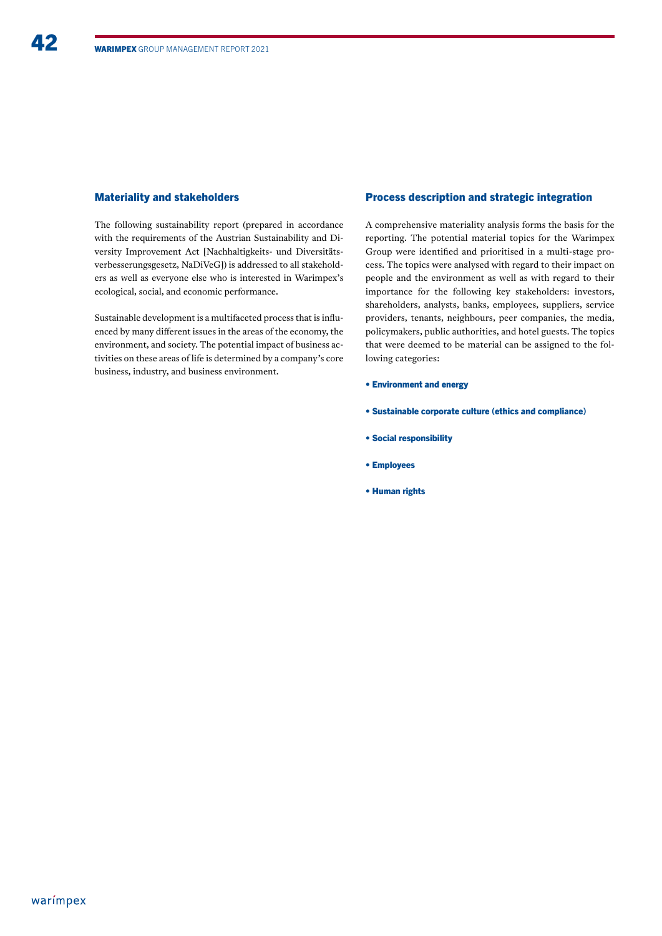## Materiality and stakeholders

The following sustainability report (prepared in accordance with the requirements of the Austrian Sustainability and Diversity Improvement Act [Nachhaltigkeits- und Diversitätsverbesserungsgesetz, NaDiVeG]) is addressed to all stakeholders as well as everyone else who is interested in Warimpex's ecological, social, and economic performance.

Sustainable development is a multifaceted process that is influenced by many different issues in the areas of the economy, the environment, and society. The potential impact of business activities on these areas of life is determined by a company's core business, industry, and business environment.

## Process description and strategic integration

A comprehensive materiality analysis forms the basis for the reporting. The potential material topics for the Warimpex Group were identified and prioritised in a multi-stage process. The topics were analysed with regard to their impact on people and the environment as well as with regard to their importance for the following key stakeholders: investors, shareholders, analysts, banks, employees, suppliers, service providers, tenants, neighbours, peer companies, the media, policymakers, public authorities, and hotel guests. The topics that were deemed to be material can be assigned to the following categories:

- Environment and energy
- Sustainable corporate culture (ethics and compliance)
- Social responsibility
- Employees
- Human rights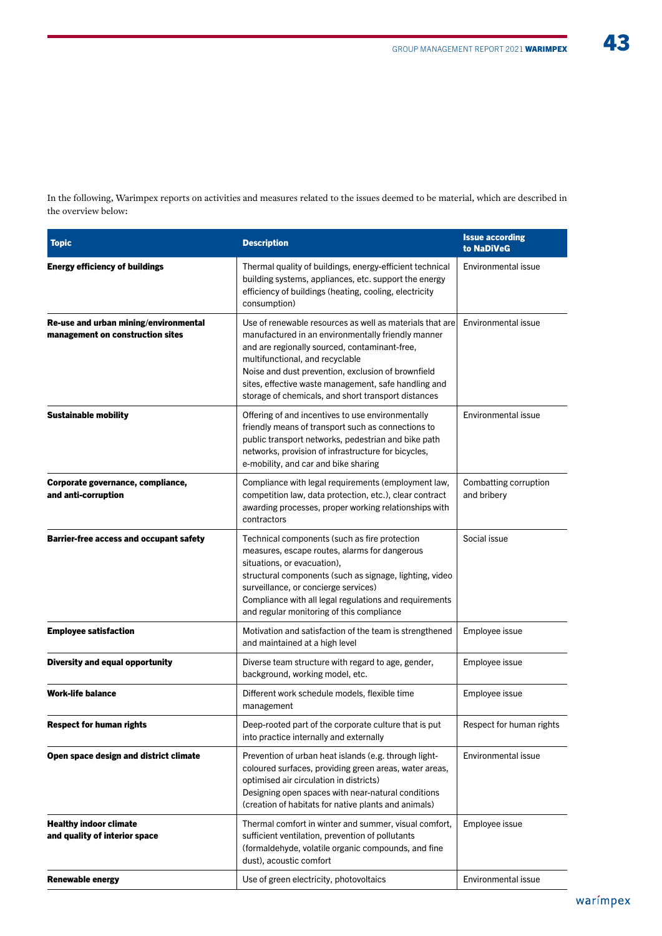In the following, Warimpex reports on activities and measures related to the issues deemed to be material, which are described in the overview below:

| <b>Topic</b>                                                              | <b>Description</b>                                                                                                                                                                                                                                                                                                                                                      | <b>Issue according</b><br>to NaDiVeG |
|---------------------------------------------------------------------------|-------------------------------------------------------------------------------------------------------------------------------------------------------------------------------------------------------------------------------------------------------------------------------------------------------------------------------------------------------------------------|--------------------------------------|
| <b>Energy efficiency of buildings</b>                                     | Thermal quality of buildings, energy-efficient technical<br>building systems, appliances, etc. support the energy<br>efficiency of buildings (heating, cooling, electricity<br>consumption)                                                                                                                                                                             | Environmental issue                  |
| Re-use and urban mining/environmental<br>management on construction sites | Use of renewable resources as well as materials that are<br>manufactured in an environmentally friendly manner<br>and are regionally sourced, contaminant-free,<br>multifunctional, and recyclable<br>Noise and dust prevention, exclusion of brownfield<br>sites, effective waste management, safe handling and<br>storage of chemicals, and short transport distances | Environmental issue                  |
| <b>Sustainable mobility</b>                                               | Offering of and incentives to use environmentally<br>friendly means of transport such as connections to<br>public transport networks, pedestrian and bike path<br>networks, provision of infrastructure for bicycles,<br>e-mobility, and car and bike sharing                                                                                                           | Environmental issue                  |
| Corporate governance, compliance,<br>and anti-corruption                  | Compliance with legal requirements (employment law,<br>competition law, data protection, etc.), clear contract<br>awarding processes, proper working relationships with<br>contractors                                                                                                                                                                                  | Combatting corruption<br>and bribery |
| <b>Barrier-free access and occupant safety</b>                            | Technical components (such as fire protection<br>measures, escape routes, alarms for dangerous<br>situations, or evacuation),<br>structural components (such as signage, lighting, video<br>surveillance, or concierge services)<br>Compliance with all legal regulations and requirements<br>and regular monitoring of this compliance                                 | Social issue                         |
| <b>Employee satisfaction</b>                                              | Motivation and satisfaction of the team is strengthened<br>and maintained at a high level                                                                                                                                                                                                                                                                               | Employee issue                       |
| <b>Diversity and equal opportunity</b>                                    | Diverse team structure with regard to age, gender,<br>background, working model, etc.                                                                                                                                                                                                                                                                                   | Employee issue                       |
| <b>Work-life balance</b>                                                  | Different work schedule models, flexible time<br>management                                                                                                                                                                                                                                                                                                             | Employee issue                       |
| Respect for human rights                                                  | Deep-rooted part of the corporate culture that is put<br>into practice internally and externally                                                                                                                                                                                                                                                                        | Respect for human rights             |
| Open space design and district climate                                    | Prevention of urban heat islands (e.g. through light-<br>coloured surfaces, providing green areas, water areas,<br>optimised air circulation in districts)<br>Designing open spaces with near-natural conditions<br>(creation of habitats for native plants and animals)                                                                                                | Environmental issue                  |
| <b>Healthy indoor climate</b><br>and quality of interior space            | Thermal comfort in winter and summer, visual comfort,<br>sufficient ventilation, prevention of pollutants<br>(formaldehyde, volatile organic compounds, and fine<br>dust), acoustic comfort                                                                                                                                                                             | Employee issue                       |
| <b>Renewable energy</b>                                                   | Use of green electricity, photovoltaics                                                                                                                                                                                                                                                                                                                                 | Environmental issue                  |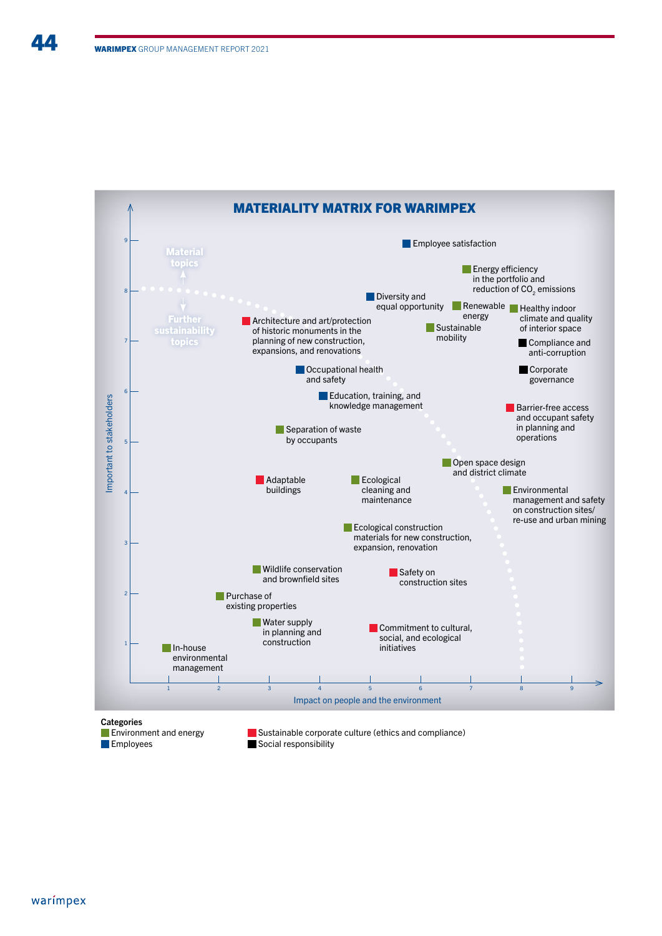



**Employees** Social responsibility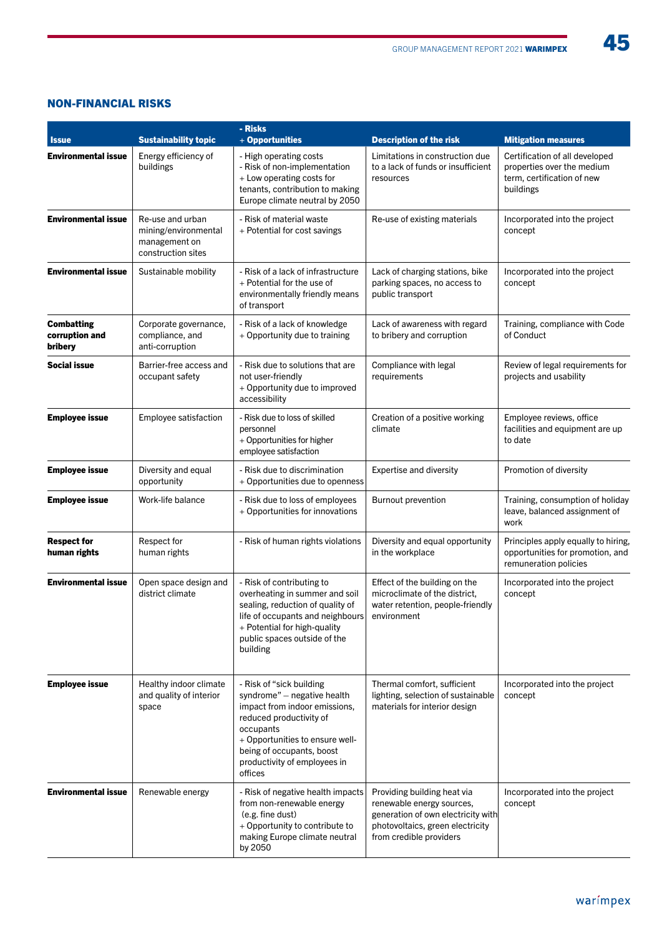# NON-FINANCIAL RISKS

| - Risks                                        |                                                                                 |                                                                                                                                                                                                                                             |                                                                                                                                                               |                                                                                                         |
|------------------------------------------------|---------------------------------------------------------------------------------|---------------------------------------------------------------------------------------------------------------------------------------------------------------------------------------------------------------------------------------------|---------------------------------------------------------------------------------------------------------------------------------------------------------------|---------------------------------------------------------------------------------------------------------|
| <b>Issue</b>                                   | <b>Sustainability topic</b>                                                     | + Opportunities                                                                                                                                                                                                                             | <b>Description of the risk</b>                                                                                                                                | <b>Mitigation measures</b>                                                                              |
| <b>Environmental issue</b>                     | Energy efficiency of<br>buildings                                               | - High operating costs<br>- Risk of non-implementation<br>+ Low operating costs for<br>tenants, contribution to making<br>Europe climate neutral by 2050                                                                                    | Limitations in construction due<br>to a lack of funds or insufficient<br>resources                                                                            | Certification of all developed<br>properties over the medium<br>term, certification of new<br>buildings |
| <b>Environmental issue</b>                     | Re-use and urban<br>mining/environmental<br>management on<br>construction sites | - Risk of material waste<br>+ Potential for cost savings                                                                                                                                                                                    | Re-use of existing materials                                                                                                                                  | Incorporated into the project<br>concept                                                                |
| <b>Environmental issue</b>                     | Sustainable mobility                                                            | - Risk of a lack of infrastructure<br>+ Potential for the use of<br>environmentally friendly means<br>of transport                                                                                                                          | Lack of charging stations, bike<br>parking spaces, no access to<br>public transport                                                                           | Incorporated into the project<br>concept                                                                |
| <b>Combatting</b><br>corruption and<br>bribery | Corporate governance,<br>compliance, and<br>anti-corruption                     | - Risk of a lack of knowledge<br>+ Opportunity due to training                                                                                                                                                                              | Lack of awareness with regard<br>to bribery and corruption                                                                                                    | Training, compliance with Code<br>of Conduct                                                            |
| <b>Social issue</b>                            | Barrier-free access and<br>occupant safety                                      | - Risk due to solutions that are<br>not user-friendly<br>+ Opportunity due to improved<br>accessibility                                                                                                                                     | Compliance with legal<br>requirements                                                                                                                         | Review of legal requirements for<br>projects and usability                                              |
| <b>Employee issue</b>                          | Employee satisfaction                                                           | - Risk due to loss of skilled<br>personnel<br>+ Opportunities for higher<br>employee satisfaction                                                                                                                                           | Creation of a positive working<br>climate                                                                                                                     | Employee reviews, office<br>facilities and equipment are up<br>to date                                  |
| <b>Employee issue</b>                          | Diversity and equal<br>opportunity                                              | - Risk due to discrimination<br>+ Opportunities due to openness                                                                                                                                                                             | <b>Expertise and diversity</b>                                                                                                                                | Promotion of diversity                                                                                  |
| <b>Employee issue</b>                          | Work-life balance                                                               | - Risk due to loss of employees<br>+ Opportunities for innovations                                                                                                                                                                          | <b>Burnout prevention</b>                                                                                                                                     | Training, consumption of holiday<br>leave, balanced assignment of<br>work                               |
| <b>Respect for</b><br>human rights             | Respect for<br>human rights                                                     | - Risk of human rights violations                                                                                                                                                                                                           | Diversity and equal opportunity<br>in the workplace                                                                                                           | Principles apply equally to hiring,<br>opportunities for promotion, and<br>remuneration policies        |
| <b>Environmental issue</b>                     | Open space design and<br>district climate                                       | - Risk of contributing to<br>overheating in summer and soil<br>sealing, reduction of quality of<br>life of occupants and neighbours<br>+ Potential for high-quality<br>public spaces outside of the<br>building                             | Effect of the building on the<br>microclimate of the district,<br>water retention, people-friendly<br>environment                                             | Incorporated into the project<br>concept                                                                |
| <b>Employee issue</b>                          | Healthy indoor climate<br>and quality of interior<br>space                      | - Risk of "sick building<br>syndrome" - negative health<br>impact from indoor emissions,<br>reduced productivity of<br>occupants<br>+ Opportunities to ensure well-<br>being of occupants, boost<br>productivity of employees in<br>offices | Thermal comfort, sufficient<br>lighting, selection of sustainable<br>materials for interior design                                                            | Incorporated into the project<br>concept                                                                |
| <b>Environmental issue</b>                     | Renewable energy                                                                | - Risk of negative health impacts<br>from non-renewable energy<br>(e.g. fine dust)<br>+ Opportunity to contribute to<br>making Europe climate neutral<br>by 2050                                                                            | Providing building heat via<br>renewable energy sources,<br>generation of own electricity with<br>photovoltaics, green electricity<br>from credible providers | Incorporated into the project<br>concept                                                                |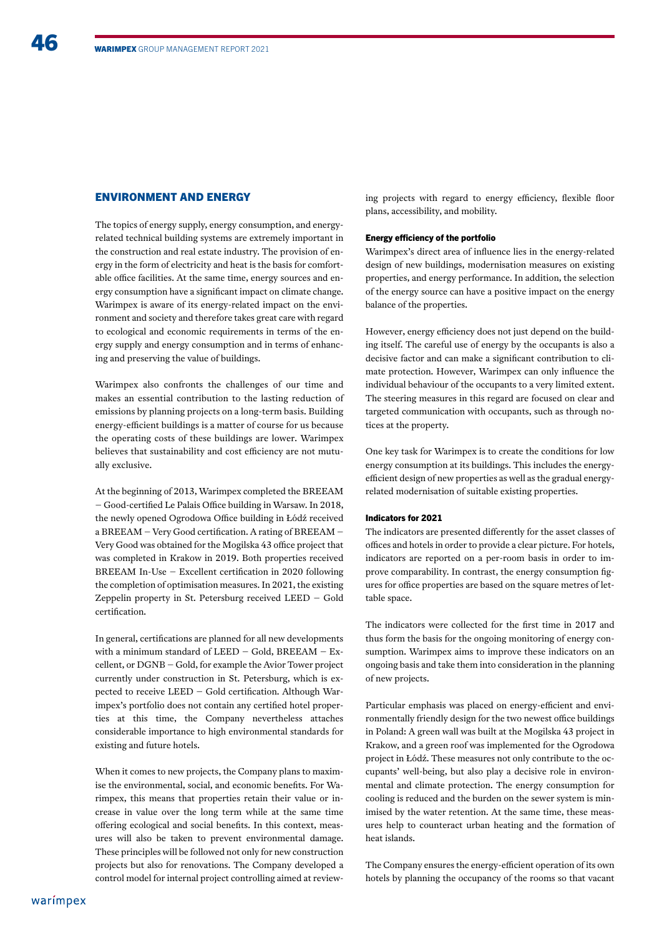## ENVIRONMENT AND ENERGY

The topics of energy supply, energy consumption, and energyrelated technical building systems are extremely important in the construction and real estate industry. The provision of energy in the form of electricity and heat is the basis for comfortable office facilities. At the same time, energy sources and energy consumption have a significant impact on climate change. Warimpex is aware of its energy-related impact on the environment and society and therefore takes great care with regard to ecological and economic requirements in terms of the energy supply and energy consumption and in terms of enhancing and preserving the value of buildings.

Warimpex also confronts the challenges of our time and makes an essential contribution to the lasting reduction of emissions by planning projects on a long-term basis. Building energy-efficient buildings is a matter of course for us because the operating costs of these buildings are lower. Warimpex believes that sustainability and cost efficiency are not mutually exclusive.

At the beginning of 2013, Warimpex completed the BREEAM – Good-certified Le Palais Office building in Warsaw. In 2018, the newly opened Ogrodowa Office building in Łódź received a BREEAM – Very Good certification. A rating of BREEAM – Very Good was obtained for the Mogilska 43 office project that was completed in Krakow in 2019. Both properties received BREEAM In-Use – Excellent certification in 2020 following the completion of optimisation measures. In 2021, the existing Zeppelin property in St. Petersburg received LEED – Gold certification.

In general, certifications are planned for all new developments with a minimum standard of LEED – Gold, BREEAM – Excellent, or DGNB – Gold, for example the Avior Tower project currently under construction in St. Petersburg, which is expected to receive LEED – Gold certification. Although Warimpex's portfolio does not contain any certified hotel properties at this time, the Company nevertheless attaches considerable importance to high environmental standards for existing and future hotels.

When it comes to new projects, the Company plans to maximise the environmental, social, and economic benefits. For Warimpex, this means that properties retain their value or increase in value over the long term while at the same time offering ecological and social benefits. In this context, measures will also be taken to prevent environmental damage. These principles will be followed not only for new construction projects but also for renovations. The Company developed a control model for internal project controlling aimed at reviewing projects with regard to energy efficiency, flexible floor plans, accessibility, and mobility.

### Energy efficiency of the portfolio

Warimpex's direct area of influence lies in the energy-related design of new buildings, modernisation measures on existing properties, and energy performance. In addition, the selection of the energy source can have a positive impact on the energy balance of the properties.

However, energy efficiency does not just depend on the building itself. The careful use of energy by the occupants is also a decisive factor and can make a significant contribution to climate protection. However, Warimpex can only influence the individual behaviour of the occupants to a very limited extent. The steering measures in this regard are focused on clear and targeted communication with occupants, such as through notices at the property.

One key task for Warimpex is to create the conditions for low energy consumption at its buildings. This includes the energyefficient design of new properties as well as the gradual energyrelated modernisation of suitable existing properties.

#### Indicators for 2021

The indicators are presented differently for the asset classes of offices and hotels in order to provide a clear picture. For hotels, indicators are reported on a per-room basis in order to improve comparability. In contrast, the energy consumption figures for office properties are based on the square metres of lettable space.

The indicators were collected for the first time in 2017 and thus form the basis for the ongoing monitoring of energy consumption. Warimpex aims to improve these indicators on an ongoing basis and take them into consideration in the planning of new projects.

Particular emphasis was placed on energy-efficient and environmentally friendly design for the two newest office buildings in Poland: A green wall was built at the Mogilska 43 project in Krakow, and a green roof was implemented for the Ogrodowa project in Łódź. These measures not only contribute to the occupants' well-being, but also play a decisive role in environmental and climate protection. The energy consumption for cooling is reduced and the burden on the sewer system is minimised by the water retention. At the same time, these measures help to counteract urban heating and the formation of heat islands.

The Company ensures the energy-efficient operation of its own hotels by planning the occupancy of the rooms so that vacant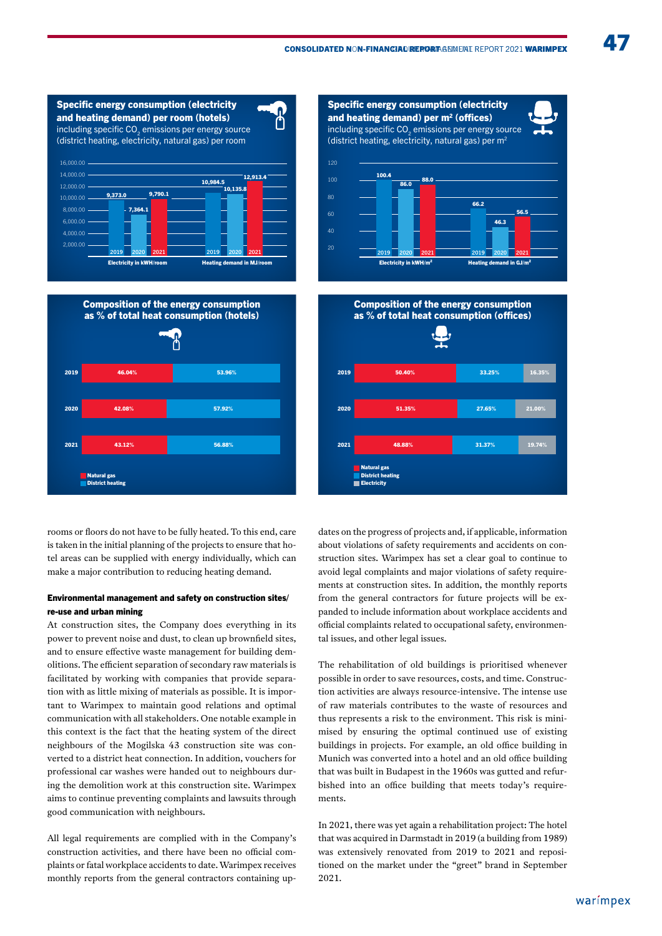



rooms or floors do not have to be fully heated. To this end, care is taken in the initial planning of the projects to ensure that hotel areas can be supplied with energy individually, which can make a major contribution to reducing heating demand.

## Environmental management and safety on construction sites/ re-use and urban mining

At construction sites, the Company does everything in its power to prevent noise and dust, to clean up brownfield sites, and to ensure effective waste management for building demolitions. The efficient separation of secondary raw materials is facilitated by working with companies that provide separation with as little mixing of materials as possible. It is important to Warimpex to maintain good relations and optimal communication with all stakeholders. One notable example in this context is the fact that the heating system of the direct neighbours of the Mogilska 43 construction site was converted to a district heat connection. In addition, vouchers for professional car washes were handed out to neighbours during the demolition work at this construction site. Warimpex aims to continue preventing complaints and lawsuits through good communication with neighbours.

All legal requirements are complied with in the Company's construction activities, and there have been no official complaints or fatal workplace accidents to date. Warimpex receives monthly reports from the general contractors containing up-





dates on the progress of projects and, if applicable, information about violations of safety requirements and accidents on construction sites. Warimpex has set a clear goal to continue to avoid legal complaints and major violations of safety requirements at construction sites. In addition, the monthly reports from the general contractors for future projects will be expanded to include information about workplace accidents and official complaints related to occupational safety, environmental issues, and other legal issues.

The rehabilitation of old buildings is prioritised whenever possible in order to save resources, costs, and time. Construction activities are always resource-intensive. The intense use of raw materials contributes to the waste of resources and thus represents a risk to the environment. This risk is minimised by ensuring the optimal continued use of existing buildings in projects. For example, an old office building in Munich was converted into a hotel and an old office building that was built in Budapest in the 1960s was gutted and refurbished into an office building that meets today's requirements.

In 2021, there was yet again a rehabilitation project: The hotel that was acquired in Darmstadt in 2019 (a building from 1989) was extensively renovated from 2019 to 2021 and repositioned on the market under the "greet" brand in September 2021.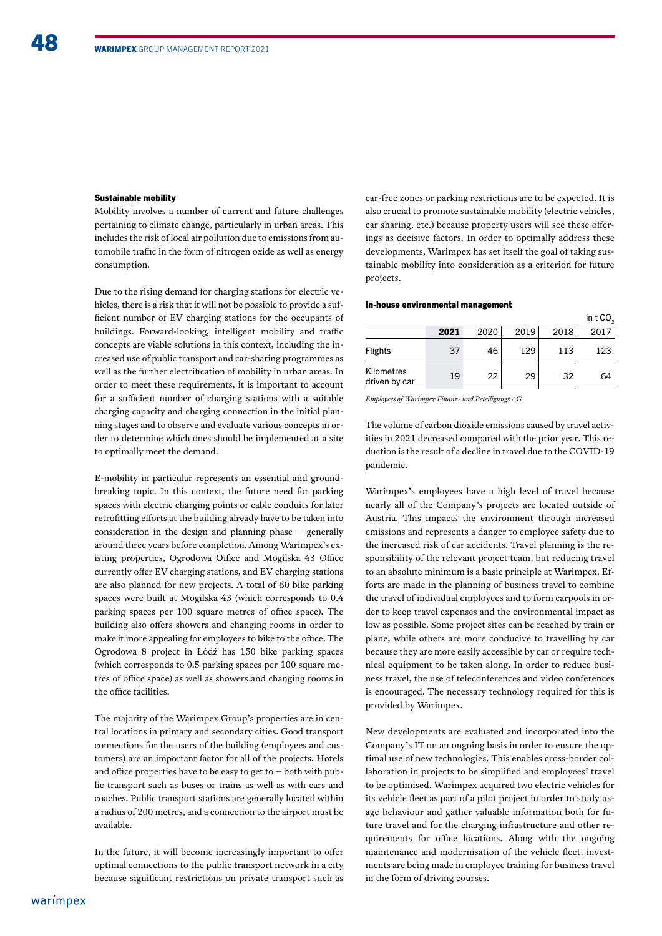#### Sustainable mobility

Mobility involves a number of current and future challenges pertaining to climate change, particularly in urban areas. This includes the risk of local air pollution due to emissions from automobile traffic in the form of nitrogen oxide as well as energy consumption.

Due to the rising demand for charging stations for electric vehicles, there is a risk that it will not be possible to provide a sufficient number of EV charging stations for the occupants of buildings. Forward-looking, intelligent mobility and traffic concepts are viable solutions in this context, including the increased use of public transport and car-sharing programmes as well as the further electrification of mobility in urban areas. In order to meet these requirements, it is important to account for a sufficient number of charging stations with a suitable charging capacity and charging connection in the initial planning stages and to observe and evaluate various concepts in order to determine which ones should be implemented at a site to optimally meet the demand.

E-mobility in particular represents an essential and groundbreaking topic. In this context, the future need for parking spaces with electric charging points or cable conduits for later retrofitting efforts at the building already have to be taken into consideration in the design and planning phase – generally around three years before completion. Among Warimpex's existing properties, Ogrodowa Office and Mogilska 43 Office currently offer EV charging stations, and EV charging stations are also planned for new projects. A total of 60 bike parking spaces were built at Mogilska 43 (which corresponds to 0.4 parking spaces per 100 square metres of office space). The building also offers showers and changing rooms in order to make it more appealing for employees to bike to the office. The Ogrodowa 8 project in Łódź has 150 bike parking spaces (which corresponds to 0.5 parking spaces per 100 square metres of office space) as well as showers and changing rooms in the office facilities.

The majority of the Warimpex Group's properties are in central locations in primary and secondary cities. Good transport connections for the users of the building (employees and customers) are an important factor for all of the projects. Hotels and office properties have to be easy to get to – both with public transport such as buses or trains as well as with cars and coaches. Public transport stations are generally located within a radius of 200 metres, and a connection to the airport must be available.

In the future, it will become increasingly important to offer optimal connections to the public transport network in a city because significant restrictions on private transport such as car-free zones or parking restrictions are to be expected. It is also crucial to promote sustainable mobility (electric vehicles, car sharing, etc.) because property users will see these offerings as decisive factors. In order to optimally address these developments, Warimpex has set itself the goal of taking sustainable mobility into consideration as a criterion for future projects.

#### In-house environmental management

|                             |      |      |      |      | in $t$ CO <sub>2</sub> |
|-----------------------------|------|------|------|------|------------------------|
|                             | 2021 | 2020 | 2019 | 2018 | 2017                   |
| <b>Flights</b>              | 37   | 46   | 129  | 113  | 123                    |
| Kilometres<br>driven by car | 19   | 22   | 29   | 32   | 64                     |

*Employees of Warimpex Finanz- und Beteiligungs AG*

The volume of carbon dioxide emissions caused by travel activities in 2021 decreased compared with the prior year. This reduction is the result of a decline in travel due to the COVID-19 pandemic.

Warimpex's employees have a high level of travel because nearly all of the Company's projects are located outside of Austria. This impacts the environment through increased emissions and represents a danger to employee safety due to the increased risk of car accidents. Travel planning is the responsibility of the relevant project team, but reducing travel to an absolute minimum is a basic principle at Warimpex. Efforts are made in the planning of business travel to combine the travel of individual employees and to form carpools in order to keep travel expenses and the environmental impact as low as possible. Some project sites can be reached by train or plane, while others are more conducive to travelling by car because they are more easily accessible by car or require technical equipment to be taken along. In order to reduce business travel, the use of teleconferences and video conferences is encouraged. The necessary technology required for this is provided by Warimpex.

New developments are evaluated and incorporated into the Company's IT on an ongoing basis in order to ensure the optimal use of new technologies. This enables cross-border collaboration in projects to be simplified and employees' travel to be optimised. Warimpex acquired two electric vehicles for its vehicle fleet as part of a pilot project in order to study usage behaviour and gather valuable information both for future travel and for the charging infrastructure and other requirements for office locations. Along with the ongoing maintenance and modernisation of the vehicle fleet, investments are being made in employee training for business travel in the form of driving courses.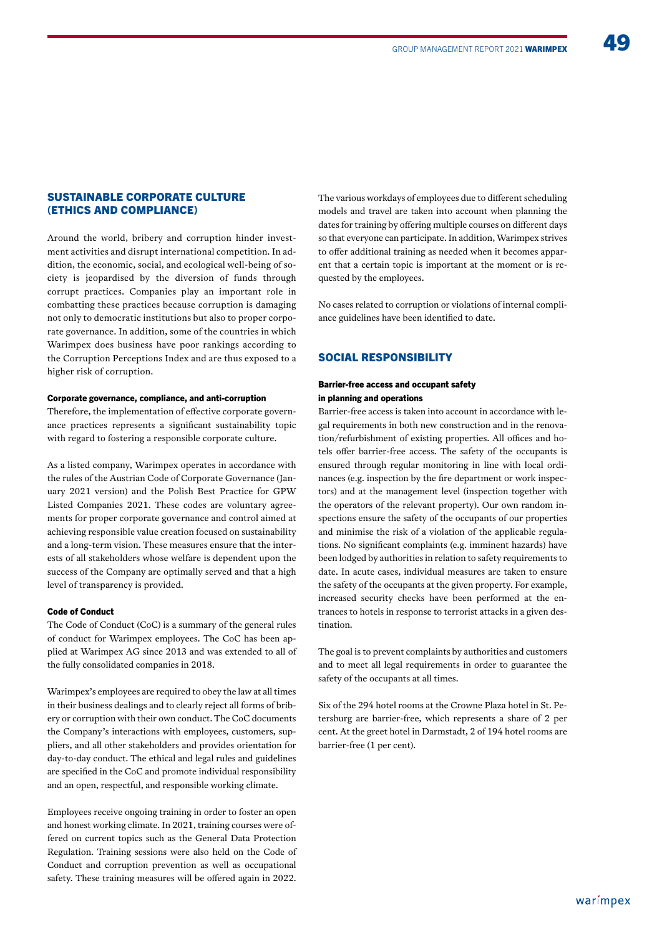# SUSTAINABLE CORPORATE CULTURE (ETHICS AND COMPLIANCE)

Around the world, bribery and corruption hinder investment activities and disrupt international competition. In addition, the economic, social, and ecological well-being of society is jeopardised by the diversion of funds through corrupt practices. Companies play an important role in combatting these practices because corruption is damaging not only to democratic institutions but also to proper corporate governance. In addition, some of the countries in which Warimpex does business have poor rankings according to the Corruption Perceptions Index and are thus exposed to a higher risk of corruption.

#### Corporate governance, compliance, and anti-corruption

Therefore, the implementation of effective corporate governance practices represents a significant sustainability topic with regard to fostering a responsible corporate culture.

As a listed company, Warimpex operates in accordance with the rules of the Austrian Code of Corporate Governance (January 2021 version) and the Polish Best Practice for GPW Listed Companies 2021. These codes are voluntary agreements for proper corporate governance and control aimed at achieving responsible value creation focused on sustainability and a long-term vision. These measures ensure that the interests of all stakeholders whose welfare is dependent upon the success of the Company are optimally served and that a high level of transparency is provided.

### Code of Conduct

The Code of Conduct (CoC) is a summary of the general rules of conduct for Warimpex employees. The CoC has been applied at Warimpex AG since 2013 and was extended to all of the fully consolidated companies in 2018.

Warimpex's employees are required to obey the law at all times in their business dealings and to clearly reject all forms of bribery or corruption with their own conduct. The CoC documents the Company's interactions with employees, customers, suppliers, and all other stakeholders and provides orientation for day-to-day conduct. The ethical and legal rules and guidelines are specified in the CoC and promote individual responsibility and an open, respectful, and responsible working climate.

Employees receive ongoing training in order to foster an open and honest working climate. In 2021, training courses were offered on current topics such as the General Data Protection Regulation. Training sessions were also held on the Code of Conduct and corruption prevention as well as occupational safety. These training measures will be offered again in 2022.

The various workdays of employees due to different scheduling models and travel are taken into account when planning the dates for training by offering multiple courses on different days so that everyone can participate. In addition, Warimpex strives to offer additional training as needed when it becomes apparent that a certain topic is important at the moment or is requested by the employees.

No cases related to corruption or violations of internal compliance guidelines have been identified to date.

# SOCIAL RESPONSIBILITY

### Barrier-free access and occupant safety in planning and operations

Barrier-free access is taken into account in accordance with legal requirements in both new construction and in the renovation/refurbishment of existing properties. All offices and hotels offer barrier-free access. The safety of the occupants is ensured through regular monitoring in line with local ordinances (e.g. inspection by the fire department or work inspectors) and at the management level (inspection together with the operators of the relevant property). Our own random inspections ensure the safety of the occupants of our properties and minimise the risk of a violation of the applicable regulations. No significant complaints (e.g. imminent hazards) have been lodged by authorities in relation to safety requirements to date. In acute cases, individual measures are taken to ensure the safety of the occupants at the given property. For example, increased security checks have been performed at the entrances to hotels in response to terrorist attacks in a given destination.

The goal is to prevent complaints by authorities and customers and to meet all legal requirements in order to guarantee the safety of the occupants at all times.

Six of the 294 hotel rooms at the Crowne Plaza hotel in St. Petersburg are barrier-free, which represents a share of 2 per cent. At the greet hotel in Darmstadt, 2 of 194 hotel rooms are barrier-free (1 per cent).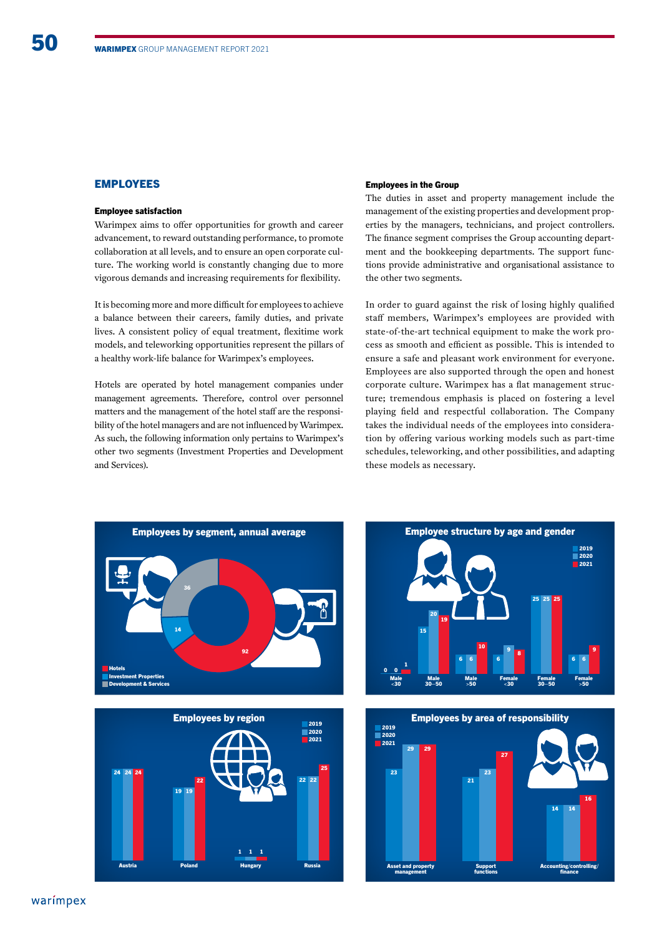## EMPLOYEES

## Employee satisfaction

Warimpex aims to offer opportunities for growth and career advancement, to reward outstanding performance, to promote collaboration at all levels, and to ensure an open corporate culture. The working world is constantly changing due to more vigorous demands and increasing requirements for flexibility.

It is becoming more and more difficult for employees to achieve a balance between their careers, family duties, and private lives. A consistent policy of equal treatment, flexitime work models, and teleworking opportunities represent the pillars of a healthy work-life balance for Warimpex's employees.

Hotels are operated by hotel management companies under management agreements. Therefore, control over personnel matters and the management of the hotel staff are the responsibility of the hotel managers and are not influenced by Warimpex. As such, the following information only pertains to Warimpex's other two segments (Investment Properties and Development and Services).

#### Employees in the Group

The duties in asset and property management include the management of the existing properties and development properties by the managers, technicians, and project controllers. The finance segment comprises the Group accounting department and the bookkeeping departments. The support functions provide administrative and organisational assistance to the other two segments.

In order to guard against the risk of losing highly qualified staff members, Warimpex's employees are provided with state-of-the-art technical equipment to make the work process as smooth and efficient as possible. This is intended to ensure a safe and pleasant work environment for everyone. Employees are also supported through the open and honest corporate culture. Warimpex has a flat management structure; tremendous emphasis is placed on fostering a level playing field and respectful collaboration. The Company takes the individual needs of the employees into consideration by offering various working models such as part-time schedules, teleworking, and other possibilities, and adapting these models as necessary.





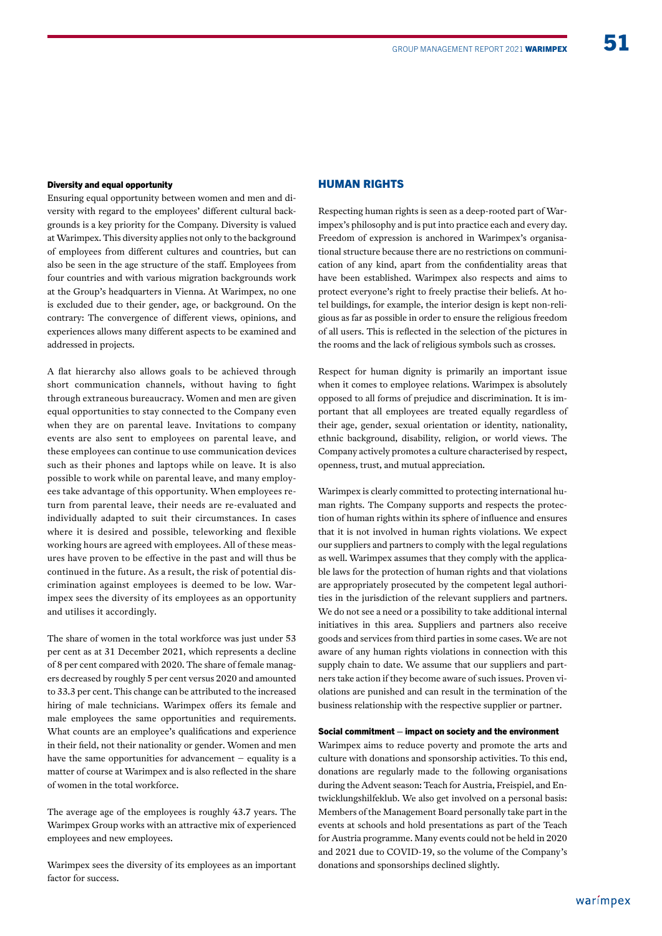#### Diversity and equal opportunity

Ensuring equal opportunity between women and men and diversity with regard to the employees' different cultural backgrounds is a key priority for the Company. Diversity is valued at Warimpex. This diversity applies not only to the background of employees from different cultures and countries, but can also be seen in the age structure of the staff. Employees from four countries and with various migration backgrounds work at the Group's headquarters in Vienna. At Warimpex, no one is excluded due to their gender, age, or background. On the contrary: The convergence of different views, opinions, and experiences allows many different aspects to be examined and addressed in projects.

A flat hierarchy also allows goals to be achieved through short communication channels, without having to fight through extraneous bureaucracy. Women and men are given equal opportunities to stay connected to the Company even when they are on parental leave. Invitations to company events are also sent to employees on parental leave, and these employees can continue to use communication devices such as their phones and laptops while on leave. It is also possible to work while on parental leave, and many employees take advantage of this opportunity. When employees return from parental leave, their needs are re-evaluated and individually adapted to suit their circumstances. In cases where it is desired and possible, teleworking and flexible working hours are agreed with employees. All of these measures have proven to be effective in the past and will thus be continued in the future. As a result, the risk of potential discrimination against employees is deemed to be low. Warimpex sees the diversity of its employees as an opportunity and utilises it accordingly.

The share of women in the total workforce was just under 53 per cent as at 31 December 2021, which represents a decline of 8 per cent compared with 2020. The share of female managers decreased by roughly 5 per cent versus 2020 and amounted to 33.3 per cent. This change can be attributed to the increased hiring of male technicians. Warimpex offers its female and male employees the same opportunities and requirements. What counts are an employee's qualifications and experience in their field, not their nationality or gender. Women and men have the same opportunities for advancement – equality is a matter of course at Warimpex and is also reflected in the share of women in the total workforce.

The average age of the employees is roughly 43.7 years. The Warimpex Group works with an attractive mix of experienced employees and new employees.

Warimpex sees the diversity of its employees as an important factor for success.

#### HUMAN RIGHTS

Respecting human rights is seen as a deep-rooted part of Warimpex's philosophy and is put into practice each and every day. Freedom of expression is anchored in Warimpex's organisational structure because there are no restrictions on communication of any kind, apart from the confidentiality areas that have been established. Warimpex also respects and aims to protect everyone's right to freely practise their beliefs. At hotel buildings, for example, the interior design is kept non-religious as far as possible in order to ensure the religious freedom of all users. This is reflected in the selection of the pictures in the rooms and the lack of religious symbols such as crosses.

Respect for human dignity is primarily an important issue when it comes to employee relations. Warimpex is absolutely opposed to all forms of prejudice and discrimination. It is important that all employees are treated equally regardless of their age, gender, sexual orientation or identity, nationality, ethnic background, disability, religion, or world views. The Company actively promotes a culture characterised by respect, openness, trust, and mutual appreciation.

Warimpex is clearly committed to protecting international human rights. The Company supports and respects the protection of human rights within its sphere of influence and ensures that it is not involved in human rights violations. We expect our suppliers and partners to comply with the legal regulations as well. Warimpex assumes that they comply with the applicable laws for the protection of human rights and that violations are appropriately prosecuted by the competent legal authorities in the jurisdiction of the relevant suppliers and partners. We do not see a need or a possibility to take additional internal initiatives in this area. Suppliers and partners also receive goods and services from third parties in some cases. We are not aware of any human rights violations in connection with this supply chain to date. We assume that our suppliers and partners take action if they become aware of such issues. Proven violations are punished and can result in the termination of the business relationship with the respective supplier or partner.

#### Social commitment – impact on society and the environment

Warimpex aims to reduce poverty and promote the arts and culture with donations and sponsorship activities. To this end, donations are regularly made to the following organisations during the Advent season: Teach for Austria, Freispiel, and Entwicklungshilfeklub. We also get involved on a personal basis: Members of the Management Board personally take part in the events at schools and hold presentations as part of the Teach for Austria programme. Many events could not be held in 2020 and 2021 due to COVID-19, so the volume of the Company's donations and sponsorships declined slightly.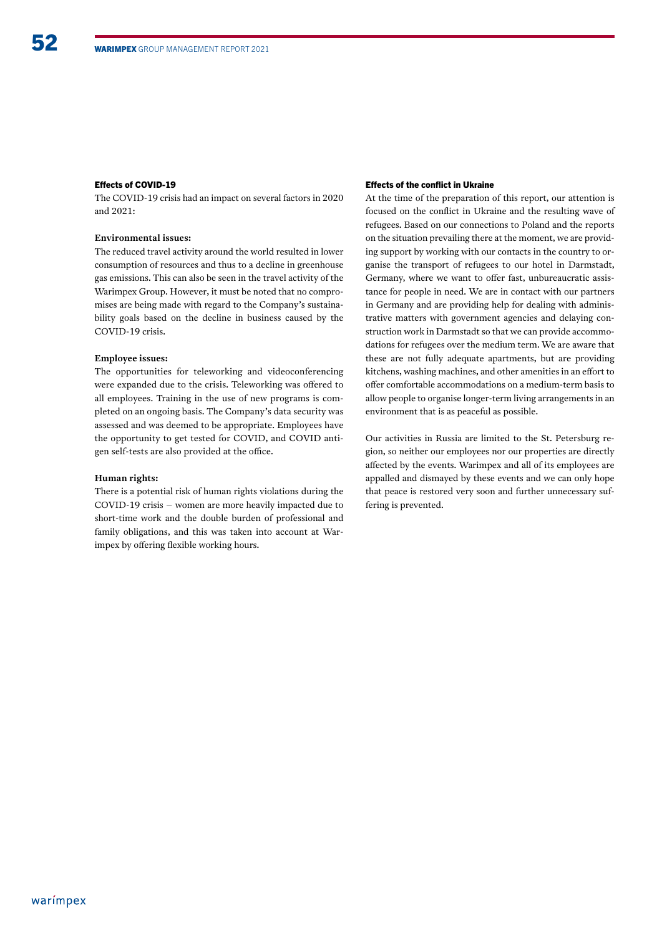#### Effects of COVID-19

The COVID-19 crisis had an impact on several factors in 2020 and 2021:

#### **Environmental issues:**

The reduced travel activity around the world resulted in lower consumption of resources and thus to a decline in greenhouse gas emissions. This can also be seen in the travel activity of the Warimpex Group. However, it must be noted that no compromises are being made with regard to the Company's sustainability goals based on the decline in business caused by the COVID-19 crisis.

#### **Employee issues:**

The opportunities for teleworking and videoconferencing were expanded due to the crisis. Teleworking was offered to all employees. Training in the use of new programs is completed on an ongoing basis. The Company's data security was assessed and was deemed to be appropriate. Employees have the opportunity to get tested for COVID, and COVID antigen self-tests are also provided at the office.

# **Human rights:**

There is a potential risk of human rights violations during the COVID-19 crisis – women are more heavily impacted due to short-time work and the double burden of professional and family obligations, and this was taken into account at Warimpex by offering flexible working hours.

#### Effects of the conflict in Ukraine

At the time of the preparation of this report, our attention is focused on the conflict in Ukraine and the resulting wave of refugees. Based on our connections to Poland and the reports on the situation prevailing there at the moment, we are providing support by working with our contacts in the country to organise the transport of refugees to our hotel in Darmstadt, Germany, where we want to offer fast, unbureaucratic assistance for people in need. We are in contact with our partners in Germany and are providing help for dealing with administrative matters with government agencies and delaying construction work in Darmstadt so that we can provide accommodations for refugees over the medium term. We are aware that these are not fully adequate apartments, but are providing kitchens, washing machines, and other amenities in an effort to offer comfortable accommodations on a medium-term basis to allow people to organise longer-term living arrangements in an environment that is as peaceful as possible.

Our activities in Russia are limited to the St. Petersburg region, so neither our employees nor our properties are directly affected by the events. Warimpex and all of its employees are appalled and dismayed by these events and we can only hope that peace is restored very soon and further unnecessary suffering is prevented.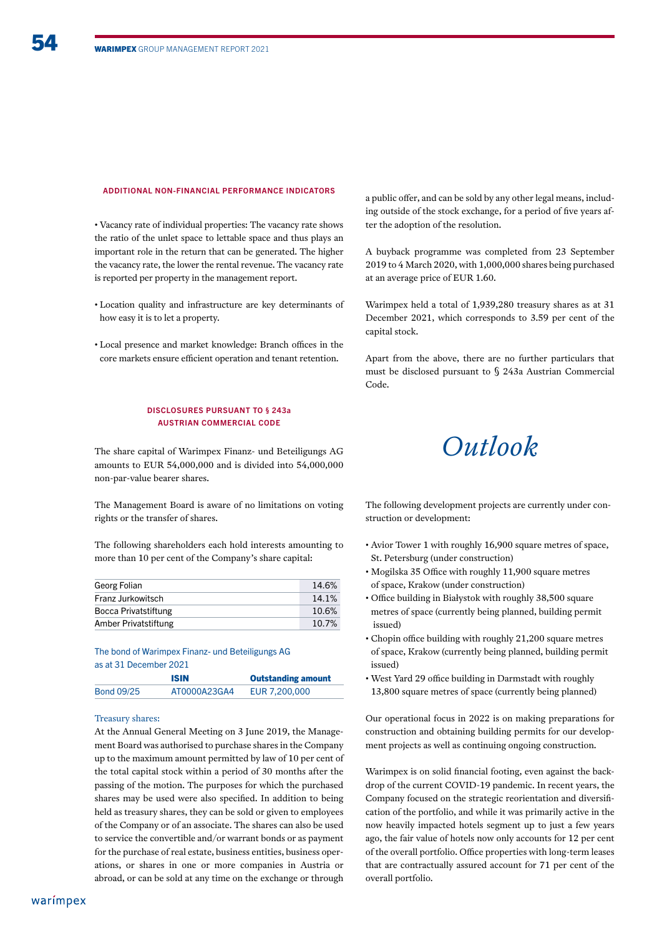#### Additional non-financial performance indicators

• Vacancy rate of individual properties: The vacancy rate shows the ratio of the unlet space to lettable space and thus plays an important role in the return that can be generated. The higher the vacancy rate, the lower the rental revenue. The vacancy rate is reported per property in the management report.

- Location quality and infrastructure are key determinants of how easy it is to let a property.
- Local presence and market knowledge: Branch offices in the core markets ensure efficient operation and tenant retention.

## DISCLOSURES PURSUANT TO § 243a AUSTRIAN COMMERCIAL CODE

The share capital of Warimpex Finanz- und Beteiligungs AG amounts to EUR 54,000,000 and is divided into 54,000,000 non-par-value bearer shares.

The Management Board is aware of no limitations on voting rights or the transfer of shares.

The following shareholders each hold interests amounting to more than 10 per cent of the Company's share capital:

| Georg Folian         | 14.6% |
|----------------------|-------|
| Franz Jurkowitsch    | 14.1% |
| Bocca Privatstiftung | 10.6% |
| Amber Privatstiftung | 10.7% |

The bond of Warimpex Finanz- und Beteiligungs AG as at 31 December 2021

|                   | <b>ISIN</b>  | <b>Outstanding amount</b> |
|-------------------|--------------|---------------------------|
| <b>Bond 09/25</b> | AT0000A23GA4 | EUR 7,200,000             |

#### Treasury shares:

At the Annual General Meeting on 3 June 2019, the Management Board was authorised to purchase shares in the Company up to the maximum amount permitted by law of 10 per cent of the total capital stock within a period of 30 months after the passing of the motion. The purposes for which the purchased shares may be used were also specified. In addition to being held as treasury shares, they can be sold or given to employees of the Company or of an associate. The shares can also be used to service the convertible and/or warrant bonds or as payment for the purchase of real estate, business entities, business operations, or shares in one or more companies in Austria or abroad, or can be sold at any time on the exchange or through

a public offer, and can be sold by any other legal means, including outside of the stock exchange, for a period of five years after the adoption of the resolution.

A buyback programme was completed from 23 September 2019 to 4 March 2020, with 1,000,000 shares being purchased at an average price of EUR 1.60.

Warimpex held a total of 1,939,280 treasury shares as at 31 December 2021, which corresponds to 3.59 per cent of the capital stock.

Apart from the above, there are no further particulars that must be disclosed pursuant to § 243a Austrian Commercial Code.

# *Outlook*

The following development projects are currently under construction or development:

- Avior Tower 1 with roughly 16,900 square metres of space, St. Petersburg (under construction)
- Mogilska 35 Office with roughly 11,900 square metres of space, Krakow (under construction)
- Office building in Białystok with roughly 38,500 square metres of space (currently being planned, building permit issued)
- Chopin office building with roughly 21,200 square metres of space, Krakow (currently being planned, building permit issued)
- West Yard 29 office building in Darmstadt with roughly 13,800 square metres of space (currently being planned)

Our operational focus in 2022 is on making preparations for construction and obtaining building permits for our development projects as well as continuing ongoing construction.

Warimpex is on solid financial footing, even against the backdrop of the current COVID-19 pandemic. In recent years, the Company focused on the strategic reorientation and diversification of the portfolio, and while it was primarily active in the now heavily impacted hotels segment up to just a few years ago, the fair value of hotels now only accounts for 12 per cent of the overall portfolio. Office properties with long-term leases that are contractually assured account for 71 per cent of the overall portfolio.